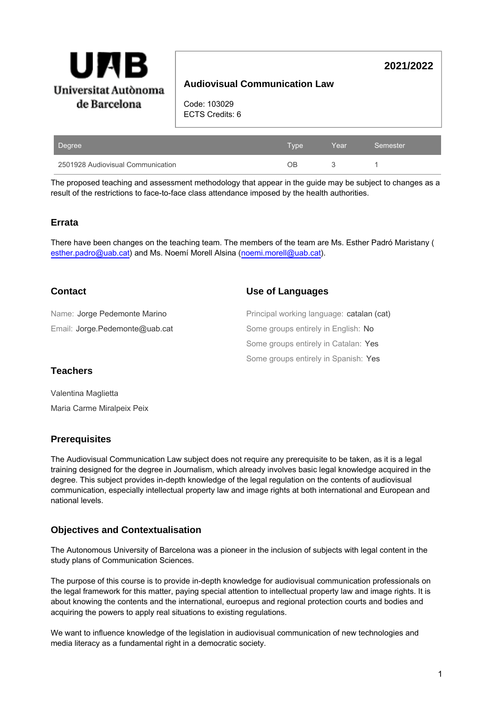

# **Audiovisual Communication Law**

**2021/2022**

Code: 103029 ECTS Credits: 6

| Degree                            | <b>Type</b> | Year | Semester |
|-----------------------------------|-------------|------|----------|
| 2501928 Audiovisual Communication | NР          |      |          |

The proposed teaching and assessment methodology that appear in the guide may be subject to changes as a result of the restrictions to face-to-face class attendance imposed by the health authorities.

#### **Errata**

There have been changes on the teaching team. The members of the team are Ms. Esther Padró Maristany ( esther.padro@uab.cat) and Ms. Noemí Morell Alsina (noemi.morell@uab.cat).

### **Contact**

**Use of Languages**

| Name: Jorge Pedemonte Marino   | Principal working language: catalan (cat) |
|--------------------------------|-------------------------------------------|
| Email: Jorge.Pedemonte@uab.cat | Some groups entirely in English: No       |
|                                | Some groups entirely in Catalan: Yes      |
|                                | Some groups entirely in Spanish: Yes      |

### **Teachers**

Valentina Maglietta Maria Carme Miralpeix Peix

### **Prerequisites**

The Audiovisual Communication Law subject does not require any prerequisite to be taken, as it is a legal training designed for the degree in Journalism, which already involves basic legal knowledge acquired in the degree. This subject provides in-depth knowledge of the legal regulation on the contents of audiovisual communication, especially intellectual property law and image rights at both international and European and national levels.

### **Objectives and Contextualisation**

The Autonomous University of Barcelona was a pioneer in the inclusion of subjects with legal content in the study plans of Communication Sciences.

The purpose of this course is to provide in-depth knowledge for audiovisual communication professionals on the legal framework for this matter, paying special attention to intellectual property law and image rights. It is about knowing the contents and the international, euroepus and regional protection courts and bodies and acquiring the powers to apply real situations to existing regulations.

We want to influence knowledge of the legislation in audiovisual communication of new technologies and media literacy as a fundamental right in a democratic society.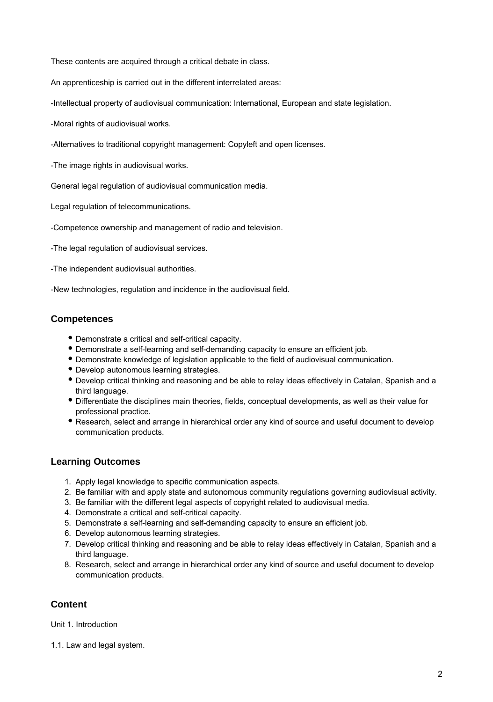These contents are acquired through a critical debate in class.

An apprenticeship is carried out in the different interrelated areas:

-Intellectual property of audiovisual communication: International, European and state legislation.

-Moral rights of audiovisual works.

-Alternatives to traditional copyright management: Copyleft and open licenses.

-The image rights in audiovisual works.

General legal regulation of audiovisual communication media.

Legal regulation of telecommunications.

-Competence ownership and management of radio and television.

-The legal regulation of audiovisual services.

-The independent audiovisual authorities.

-New technologies, regulation and incidence in the audiovisual field.

## **Competences**

- Demonstrate a critical and self-critical capacity.
- Demonstrate a self-learning and self-demanding capacity to ensure an efficient job.
- Demonstrate knowledge of legislation applicable to the field of audiovisual communication.
- Develop autonomous learning strategies.
- Develop critical thinking and reasoning and be able to relay ideas effectively in Catalan, Spanish and a third language.
- Differentiate the disciplines main theories, fields, conceptual developments, as well as their value for professional practice.
- Research, select and arrange in hierarchical order any kind of source and useful document to develop communication products.

### **Learning Outcomes**

- 1. Apply legal knowledge to specific communication aspects.
- 2. Be familiar with and apply state and autonomous community regulations governing audiovisual activity.
- 3. Be familiar with the different legal aspects of copyright related to audiovisual media.
- 4. Demonstrate a critical and self-critical capacity.
- 5. Demonstrate a self-learning and self-demanding capacity to ensure an efficient job.
- 6. Develop autonomous learning strategies.
- 7. Develop critical thinking and reasoning and be able to relay ideas effectively in Catalan, Spanish and a third language.
- 8. Research, select and arrange in hierarchical order any kind of source and useful document to develop communication products.

### **Content**

Unit 1. Introduction

1.1. Law and legal system.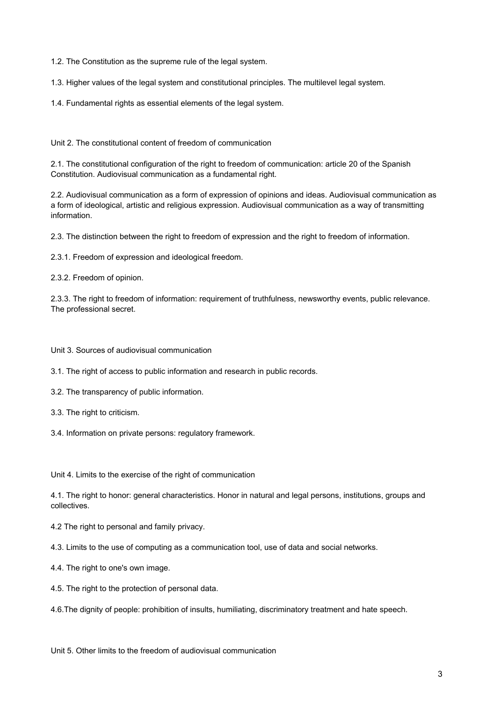1.2. The Constitution as the supreme rule of the legal system.

1.3. Higher values of the legal system and constitutional principles. The multilevel legal system.

1.4. Fundamental rights as essential elements of the legal system.

Unit 2. The constitutional content of freedom of communication

2.1. The constitutional configuration of the right to freedom of communication: article 20 of the Spanish Constitution. Audiovisual communication as a fundamental right.

2.2. Audiovisual communication as a form of expression of opinions and ideas. Audiovisual communication as a form of ideological, artistic and religious expression. Audiovisual communication as a way of transmitting information.

2.3. The distinction between the right to freedom of expression and the right to freedom of information.

2.3.1. Freedom of expression and ideological freedom.

2.3.2. Freedom of opinion.

2.3.3. The right to freedom of information: requirement of truthfulness, newsworthy events, public relevance. The professional secret.

Unit 3. Sources of audiovisual communication

3.1. The right of access to public information and research in public records.

- 3.2. The transparency of public information.
- 3.3. The right to criticism.
- 3.4. Information on private persons: regulatory framework.

Unit 4. Limits to the exercise of the right of communication

4.1. The right to honor: general characteristics. Honor in natural and legal persons, institutions, groups and collectives.

4.2 The right to personal and family privacy.

4.3. Limits to the use of computing as a communication tool, use of data and social networks.

- 4.4. The right to one's own image.
- 4.5. The right to the protection of personal data.

4.6.The dignity of people: prohibition of insults, humiliating, discriminatory treatment and hate speech.

Unit 5. Other limits to the freedom of audiovisual communication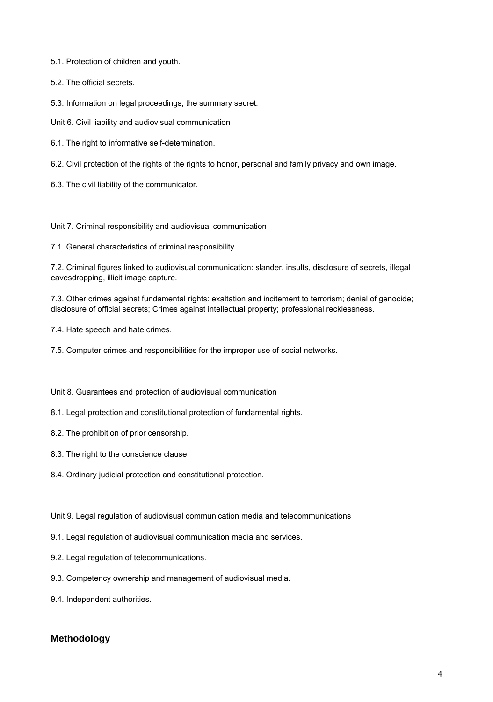5.1. Protection of children and youth.

5.2. The official secrets.

5.3. Information on legal proceedings; the summary secret.

Unit 6. Civil liability and audiovisual communication

6.1. The right to informative self-determination.

6.2. Civil protection of the rights of the rights to honor, personal and family privacy and own image.

6.3. The civil liability of the communicator.

Unit 7. Criminal responsibility and audiovisual communication

7.1. General characteristics of criminal responsibility.

7.2. Criminal figures linked to audiovisual communication: slander, insults, disclosure of secrets, illegal eavesdropping, illicit image capture.

7.3. Other crimes against fundamental rights: exaltation and incitement to terrorism; denial of genocide; disclosure of official secrets; Crimes against intellectual property; professional recklessness.

7.4. Hate speech and hate crimes.

7.5. Computer crimes and responsibilities for the improper use of social networks.

Unit 8. Guarantees and protection of audiovisual communication

8.1. Legal protection and constitutional protection of fundamental rights.

8.2. The prohibition of prior censorship.

8.3. The right to the conscience clause.

8.4. Ordinary judicial protection and constitutional protection.

Unit 9. Legal regulation of audiovisual communication media and telecommunications

9.1. Legal regulation of audiovisual communication media and services.

9.2. Legal regulation of telecommunications.

9.3. Competency ownership and management of audiovisual media.

9.4. Independent authorities.

# **Methodology**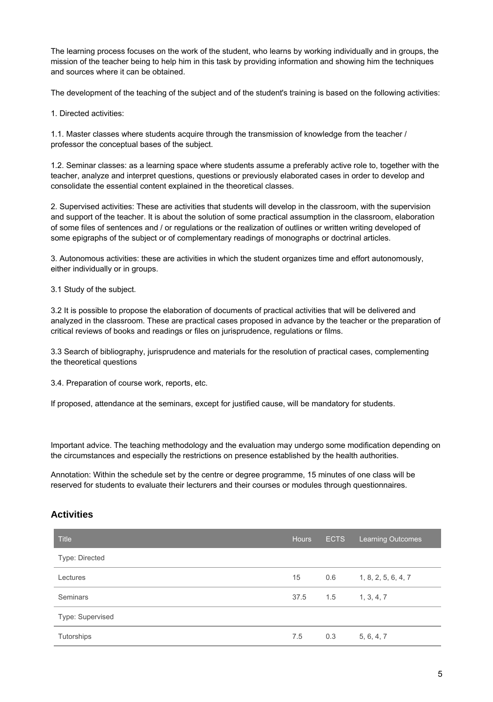The learning process focuses on the work of the student, who learns by working individually and in groups, the mission of the teacher being to help him in this task by providing information and showing him the techniques and sources where it can be obtained.

The development of the teaching of the subject and of the student's training is based on the following activities:

1. Directed activities:

1.1. Master classes where students acquire through the transmission of knowledge from the teacher / professor the conceptual bases of the subject.

1.2. Seminar classes: as a learning space where students assume a preferably active role to, together with the teacher, analyze and interpret questions, questions or previously elaborated cases in order to develop and consolidate the essential content explained in the theoretical classes.

2. Supervised activities: These are activities that students will develop in the classroom, with the supervision and support of the teacher. It is about the solution of some practical assumption in the classroom, elaboration of some files of sentences and / or regulations or the realization of outlines or written writing developed of some epigraphs of the subject or of complementary readings of monographs or doctrinal articles.

3. Autonomous activities: these are activities in which the student organizes time and effort autonomously, either individually or in groups.

3.1 Study of the subject.

3.2 It is possible to propose the elaboration of documents of practical activities that will be delivered and analyzed in the classroom. These are practical cases proposed in advance by the teacher or the preparation of critical reviews of books and readings or files on jurisprudence, regulations or films.

3.3 Search of bibliography, jurisprudence and materials for the resolution of practical cases, complementing the theoretical questions

3.4. Preparation of course work, reports, etc.

If proposed, attendance at the seminars, except for justified cause, will be mandatory for students.

Important advice. The teaching methodology and the evaluation may undergo some modification depending on the circumstances and especially the restrictions on presence established by the health authorities.

Annotation: Within the schedule set by the centre or degree programme, 15 minutes of one class will be reserved for students to evaluate their lecturers and their courses or modules through questionnaires.

### **Activities**

| <b>Title</b>     | <b>Hours</b> | <b>ECTS</b> | <b>Learning Outcomes</b> |
|------------------|--------------|-------------|--------------------------|
| Type: Directed   |              |             |                          |
| Lectures         | 15           | 0.6         | 1, 8, 2, 5, 6, 4, 7      |
| Seminars         | 37.5         | 1.5         | 1, 3, 4, 7               |
| Type: Supervised |              |             |                          |
| Tutorships       | 7.5          | 0.3         | 5, 6, 4, 7               |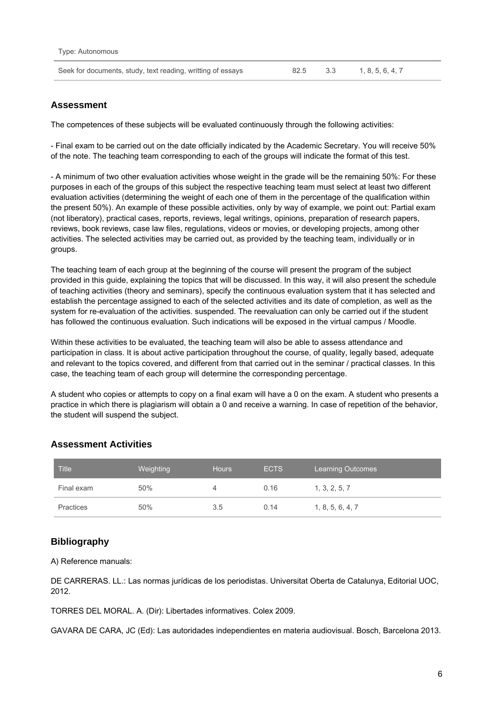| Seek for documents, study, text reading, writting of essays | 82.5 3.3 |  | 1, 8, 5, 6, 4, 7 |
|-------------------------------------------------------------|----------|--|------------------|
|-------------------------------------------------------------|----------|--|------------------|

### **Assessment**

The competences of these subjects will be evaluated continuously through the following activities:

- Final exam to be carried out on the date officially indicated by the Academic Secretary. You will receive 50% of the note. The teaching team corresponding to each of the groups will indicate the format of this test.

- A minimum of two other evaluation activities whose weight in the grade will be the remaining 50%: For these purposes in each of the groups of this subject the respective teaching team must select at least two different evaluation activities (determining the weight of each one of them in the percentage of the qualification within the present 50%). An example of these possible activities, only by way of example, we point out: Partial exam (not liberatory), practical cases, reports, reviews, legal writings, opinions, preparation of research papers, reviews, book reviews, case law files, regulations, videos or movies, or developing projects, among other activities. The selected activities may be carried out, as provided by the teaching team, individually or in groups.

The teaching team of each group at the beginning of the course will present the program of the subject provided in this guide, explaining the topics that will be discussed. In this way, it will also present the schedule of teaching activities (theory and seminars), specify the continuous evaluation system that it has selected and establish the percentage assigned to each of the selected activities and its date of completion, as well as the system for re-evaluation of the activities. suspended. The reevaluation can only be carried out if the student has followed the continuous evaluation. Such indications will be exposed in the virtual campus / Moodle.

Within these activities to be evaluated, the teaching team will also be able to assess attendance and participation in class. It is about active participation throughout the course, of quality, legally based, adequate and relevant to the topics covered, and different from that carried out in the seminar / practical classes. In this case, the teaching team of each group will determine the corresponding percentage.

A student who copies or attempts to copy on a final exam will have a 0 on the exam. A student who presents a practice in which there is plagiarism will obtain a 0 and receive a warning. In case of repetition of the behavior, the student will suspend the subject.

| <b>Title</b>     | Weighting | <b>Hours</b> | <b>ECTS</b> | <b>Learning Outcomes</b> |
|------------------|-----------|--------------|-------------|--------------------------|
| Final exam       | 50%       |              | 0.16        | 1, 3, 2, 5, 7            |
| <b>Practices</b> | 50%       | 3.5          | 0.14        | 1, 8, 5, 6, 4, 7         |

### **Assessment Activities**

### **Bibliography**

A) Reference manuals:

DE CARRERAS. LL.: Las normas jurídicas de los periodistas. Universitat Oberta de Catalunya, Editorial UOC, 2012.

TORRES DEL MORAL. A. (Dir): Libertades informatives. Colex 2009.

GAVARA DE CARA, JC (Ed): Las autoridades independientes en materia audiovisual. Bosch, Barcelona 2013.